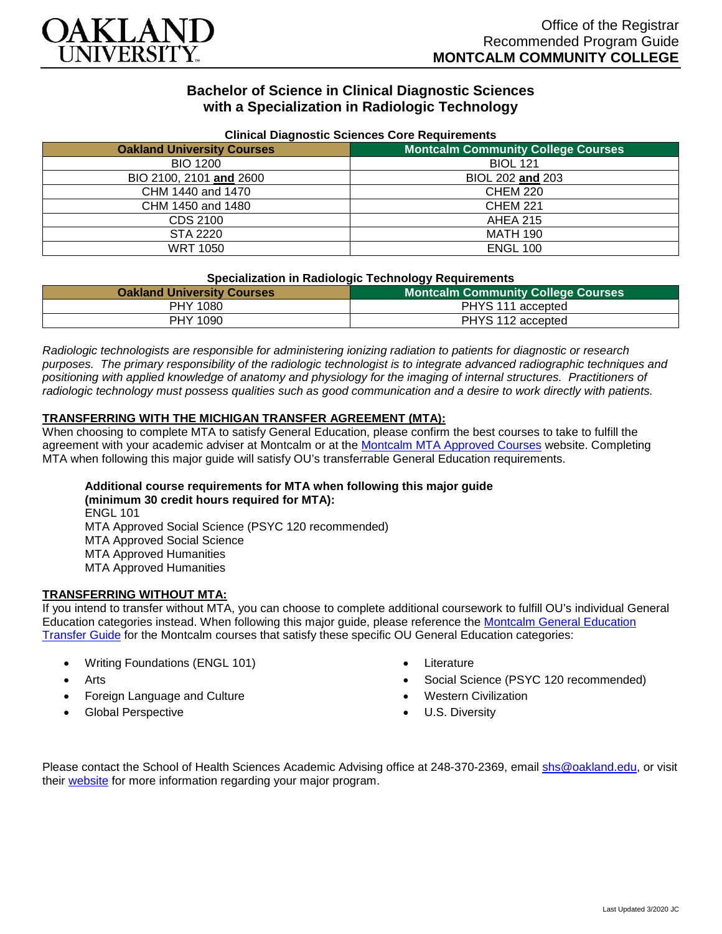

# **Bachelor of Science in Clinical Diagnostic Sciences with a Specialization in Radiologic Technology**

| <b>Uninual Diagnostic Ociences Obic Requirements</b> |                                           |
|------------------------------------------------------|-------------------------------------------|
| <b>Oakland University Courses</b>                    | <b>Montcalm Community College Courses</b> |
| <b>BIO 1200</b>                                      | <b>BIOL 121</b>                           |
| BIO 2100, 2101 and 2600                              | BIOL 202 and 203                          |
| CHM 1440 and 1470                                    | <b>CHEM 220</b>                           |
| CHM 1450 and 1480                                    | <b>CHEM 221</b>                           |
| CDS 2100                                             | <b>AHEA 215</b>                           |
| STA 2220                                             | <b>MATH 190</b>                           |
| <b>WRT 1050</b>                                      | <b>ENGL 100</b>                           |

### **Clinical Diagnostic Sciences Core Requirements**

#### **Specialization in Radiologic Technology Requirements**

| <b>Oakland University Courses</b> | <b>Montcalm Community College Courses</b> |
|-----------------------------------|-------------------------------------------|
| PHY 1080                          | PHYS 111 accepted                         |
| PHY 1090                          | PHYS 112 accepted                         |

*Radiologic technologists are responsible for administering ionizing radiation to patients for diagnostic or research purposes. The primary responsibility of the radiologic technologist is to integrate advanced radiographic techniques and positioning with applied knowledge of anatomy and physiology for the imaging of internal structures. Practitioners of radiologic technology must possess qualities such as good communication and a desire to work directly with patients.*

## **TRANSFERRING WITH THE MICHIGAN TRANSFER AGREEMENT (MTA):**

When choosing to complete MTA to satisfy General Education, please confirm the best courses to take to fulfill the agreement with your academic adviser at Montcalm or at the [Montcalm MTA Approved Courses](https://www.montcalm.edu/counseling/transfer/) website. Completing MTA when following this major guide will satisfy OU's transferrable General Education requirements.

# **Additional course requirements for MTA when following this major guide**

**(minimum 30 credit hours required for MTA):** ENGL 101 MTA Approved Social Science (PSYC 120 recommended) MTA Approved Social Science MTA Approved Humanities MTA Approved Humanities

#### **TRANSFERRING WITHOUT MTA:**

If you intend to transfer without MTA, you can choose to complete additional coursework to fulfill OU's individual General Education categories instead. When following this major guide, please reference the [Montcalm General Education](https://www.oakland.edu/Assets/Oakland/program-guides/montcalm-community-college/university-general-education-requirements/Montcalm%20Gen%20Ed.pdf)  [Transfer Guide](https://www.oakland.edu/Assets/Oakland/program-guides/montcalm-community-college/university-general-education-requirements/Montcalm%20Gen%20Ed.pdf) for the Montcalm courses that satisfy these specific OU General Education categories:

- Writing Foundations (ENGL 101)
- **Arts**
- Foreign Language and Culture
- Global Perspective
- **Literature**
- Social Science (PSYC 120 recommended)
- Western Civilization
- U.S. Diversity

Please contact the School of Health Sciences Academic Advising office at 248-370-2369, email [shs@oakland.edu,](mailto:shs@oakland.edu) or visit their [website](http://www.oakland.edu/shs/advising) for more information regarding your major program.